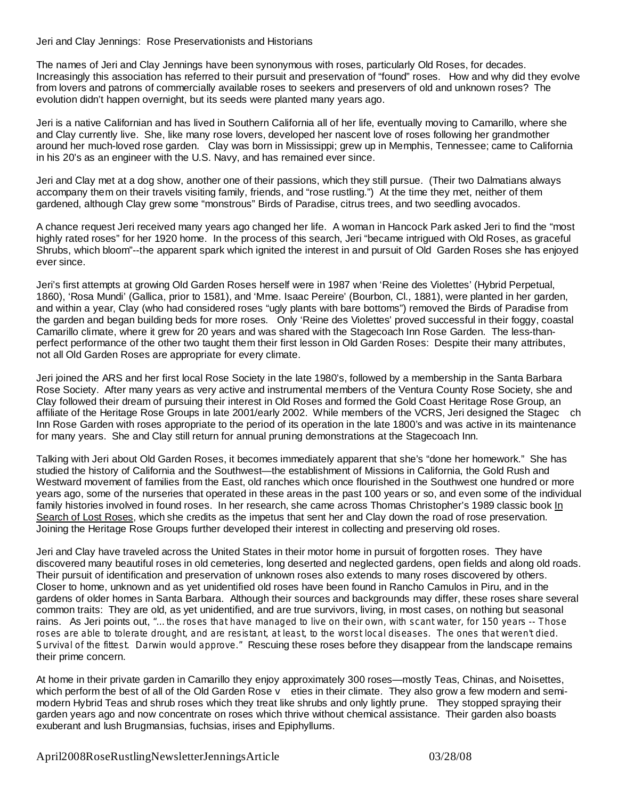Jeri and Clay Jennings: Rose Preservationists and Historians

The names of Jeri and Clay Jennings have been synonymous with roses, particularly Old Roses, for decades. Increasingly this association has referred to their pursuit and preservation of "found" roses. How and why did they evolve from lovers and patrons of commercially available roses to seekers and preservers of old and unknown roses? The evolution didn't happen overnight, but its seeds were planted many years ago.

Jeri is a native Californian and has lived in Southern California all of her life, eventually moving to Camarillo, where she and Clay currently live. She, like many rose lovers, developed her nascent love of roses following her grandmother around her much-loved rose garden. Clay was born in Mississippi; grew up in Memphis, Tennessee; came to California in his 20's as an engineer with the U.S. Navy, and has remained ever since.

Jeri and Clay met at a dog show, another one of their passions, which they still pursue. (Their two Dalmatians always accompany them on their travels visiting family, friends, and "rose rustling.") At the time they met, neither of them gardened, although Clay grew some "monstrous" Birds of Paradise, citrus trees, and two seedling avocados.

A chance request Jeri received many years ago changed her life. A woman in Hancock Park asked Jeri to find the "most highly rated roses" for her 1920 home. In the process of this search, Jeri "became intrigued with Old Roses, as graceful Shrubs, which bloom"--the apparent spark which ignited the interest in and pursuit of Old Garden Roses she has enjoyed ever since.

Jeri's first attempts at growing Old Garden Roses herself were in 1987 when 'Reine des Violettes' (Hybrid Perpetual, 1860), 'Rosa Mundi' (Gallica, prior to 1581), and 'Mme. Isaac Pereire' (Bourbon, Cl., 1881), were planted in her garden, and within a year, Clay (who had considered roses "ugly plants with bare bottoms") removed the Birds of Paradise from the garden and began building beds for more roses. Only 'Reine des Violettes' proved successful in their foggy, coastal Camarillo climate, where it grew for 20 years and was shared with the Stagecoach Inn Rose Garden. The less-thanperfect performance of the other two taught them their first lesson in Old Garden Roses: Despite their many attributes, not all Old Garden Roses are appropriate for every climate.

Jeri joined the ARS and her first local Rose Society in the late 1980's, followed by a membership in the Santa Barbara Rose Society. After many years as very active and instrumental members of the Ventura County Rose Society, she and Clay followed their dream of pursuing their interest in Old Roses and formed the Gold Coast Heritage Rose Group, an affiliate of the Heritage Rose Groups in late 2001/early 2002. While members of the VCRS, Jeri designed the Stagec ch Inn Rose Garden with roses appropriate to the period of its operation in the late 1800's and was active in its maintenance for many years. She and Clay still return for annual pruning demonstrations at the Stagecoach Inn.

Talking with Jeri about Old Garden Roses, it becomes immediately apparent that she's "done her homework." She has studied the history of California and the Southwest—the establishment of Missions in California, the Gold Rush and Westward movement of families from the East, old ranches which once flourished in the Southwest one hundred or more years ago, some of the nurseries that operated in these areas in the past 100 years or so, and even some of the individual family histories involved in found roses. In her research, she came across Thomas Christopher's 1989 classic book In Search of Lost Roses, which she credits as the impetus that sent her and Clay down the road of rose preservation. Joining the Heritage Rose Groups further developed their interest in collecting and preserving old roses.

Jeri and Clay have traveled across the United States in their motor home in pursuit of forgotten roses. They have discovered many beautiful roses in old cemeteries, long deserted and neglected gardens, open fields and along old roads. Their pursuit of identification and preservation of unknown roses also extends to many roses discovered by others. Closer to home, unknown and as yet unidentified old roses have been found in Rancho Camulos in Piru, and in the gardens of older homes in Santa Barbara. Although their sources and backgrounds may differ, these roses share several common traits: They are old, as yet unidentified, and are true survivors, living, in most cases, on nothing but seasonal rains. As Jeri points out, "...the roses that have managed to live on their own, with scant water, for 150 years -- Those Survival of the fittest. Darwin would approve." Rescuing these roses before they disappear from the landscape remains their prime concern. roses are able to tolerate drought, and are resistant, at least, to the worst local diseases. The ones that weren't died.

At home in their private garden in Camarillo they enjoy approximately 300 roses—mostly Teas, Chinas, and Noisettes, which perform the best of all of the Old Garden Rose v eties in their climate. They also grow a few modern and semimodern Hybrid Teas and shrub roses which they treat like shrubs and only lightly prune. They stopped spraying their garden years ago and now concentrate on roses which thrive without chemical assistance. Their garden also boasts exuberant and lush Brugmansias, fuchsias, irises and Epiphyllums.